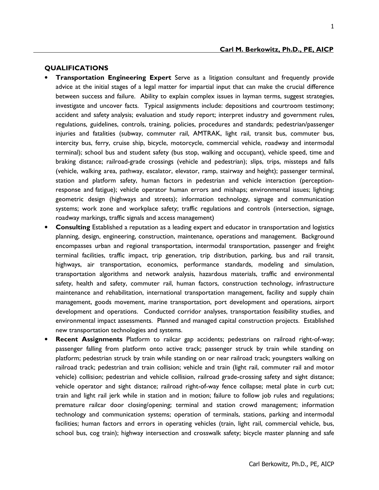#### **Carl M. Berkowitz, Ph.D., PE, AICP**

#### **QUALIFICATIONS**

- **Transportation Engineering Expert** Serve as a litigation consultant and frequently provide advice at the initial stages of a legal matter for impartial input that can make the crucial difference between success and failure. Ability to explain complex issues in layman terms, suggest strategies, investigate and uncover facts. Typical assignments include: depositions and courtroom testimony; accident and safety analysis; evaluation and study report; interpret industry and government rules, regulations, guidelines, controls, training, policies, procedures and standards; pedestrian/passenger injuries and fatalities (subway, commuter rail, AMTRAK, light rail, transit bus, commuter bus, intercity bus, ferry, cruise ship, bicycle, motorcycle, commercial vehicle, roadway and intermodal terminal); school bus and student safety (bus stop, walking and occupant), vehicle speed, time and braking distance; railroad-grade crossings (vehicle and pedestrian); slips, trips, missteps and falls (vehicle, walking area, pathway, escalator, elevator, ramp, stairway and height); passenger terminal, station and platform safety, human factors in pedestrian and vehicle interaction (perceptionresponse and fatigue); vehicle operator human errors and mishaps; environmental issues; lighting; geometric design (highways and streets); information technology, signage and communication systems; work zone and workplace safety; traffic regulations and controls (intersection, signage, roadway markings, traffic signals and access management)
- **Consulting** Established a reputation as a leading expert and educator in transportation and logistics planning, design, engineering, construction, maintenance, operations and management. Background encompasses urban and regional transportation, intermodal transportation, passenger and freight terminal facilities, traffic impact, trip generation, trip distribution, parking, bus and rail transit, highways, air transportation, economics, performance standards, modeling and simulation, transportation algorithms and network analysis, hazardous materials, traffic and environmental safety, health and safety, commuter rail, human factors, construction technology, infrastructure maintenance and rehabilitation, international transportation management, facility and supply chain management, goods movement, marine transportation, port development and operations, airport development and operations. Conducted corridor analyses, transportation feasibility studies, and environmental impact assessments. Planned and managed capital construction projects. Established new transportation technologies and systems.
- **Recent Assignments** Platform to railcar gap accidents; pedestrians on railroad right-of-way; passenger falling from platform onto active track; passenger struck by train while standing on platform; pedestrian struck by train while standing on or near railroad track; youngsters walking on railroad track; pedestrian and train collision; vehicle and train (light rail, commuter rail and motor vehicle) collision; pedestrian and vehicle collision, railroad grade-crossing safety and sight distance; vehicle operator and sight distance; railroad right-of-way fence collapse; metal plate in curb cut; train and light rail jerk while in station and in motion; failure to follow job rules and regulations; premature railcar door closing/opening; terminal and station crowd management; information technology and communication systems; operation of terminals, stations, parking and intermodal facilities; human factors and errors in operating vehicles (train, light rail, commercial vehicle, bus, school bus, cog train); highway intersection and crosswalk safety; bicycle master planning and safe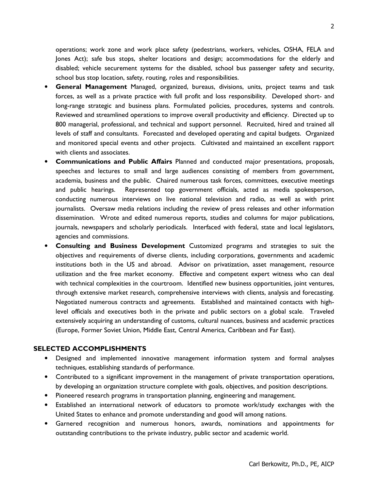operations; work zone and work place safety (pedestrians, workers, vehicles, OSHA, FELA and Jones Act); safe bus stops, shelter locations and design; accommodations for the elderly and disabled; vehicle securement systems for the disabled, school bus passenger safety and security, school bus stop location, safety, routing, roles and responsibilities.

- **General Management** Managed, organized, bureaus, divisions, units, project teams and task forces, as well as a private practice with full profit and loss responsibility. Developed short- and long-range strategic and business plans. Formulated policies, procedures, systems and controls. Reviewed and streamlined operations to improve overall productivity and efficiency. Directed up to 800 managerial, professional, and technical and support personnel. Recruited, hired and trained all levels of staff and consultants. Forecasted and developed operating and capital budgets. Organized and monitored special events and other projects. Cultivated and maintained an excellent rapport with clients and associates.
- **Communications and Public Affairs** Planned and conducted major presentations, proposals, speeches and lectures to small and large audiences consisting of members from government, academia, business and the public. Chaired numerous task forces, committees, executive meetings and public hearings. Represented top government officials, acted as media spokesperson, conducting numerous interviews on live national television and radio, as well as with print journalists. Oversaw media relations including the review of press releases and other information dissemination. Wrote and edited numerous reports, studies and columns for major publications, journals, newspapers and scholarly periodicals. Interfaced with federal, state and local legislators, agencies and commissions.
- **Consulting and Business Development** Customized programs and strategies to suit the objectives and requirements of diverse clients, including corporations, governments and academic institutions both in the US and abroad. Advisor on privatization, asset management, resource utilization and the free market economy. Effective and competent expert witness who can deal with technical complexities in the courtroom. Identified new business opportunities, joint ventures, through extensive market research, comprehensive interviews with clients, analysis and forecasting. Negotiated numerous contracts and agreements. Established and maintained contacts with highlevel officials and executives both in the private and public sectors on a global scale. Traveled extensively acquiring an understanding of customs, cultural nuances, business and academic practices (Europe, Former Soviet Union, Middle East, Central America, Caribbean and Far East).

#### **SELECTED ACCOMPLISHMENTS**

- Designed and implemented innovative management information system and formal analyses techniques, establishing standards of performance.
- Contributed to a significant improvement in the management of private transportation operations, by developing an organization structure complete with goals, objectives, and position descriptions.
- Pioneered research programs in transportation planning, engineering and management.
- Established an international network of educators to promote work/study exchanges with the United States to enhance and promote understanding and good will among nations.
- Garnered recognition and numerous honors, awards, nominations and appointments for outstanding contributions to the private industry, public sector and academic world.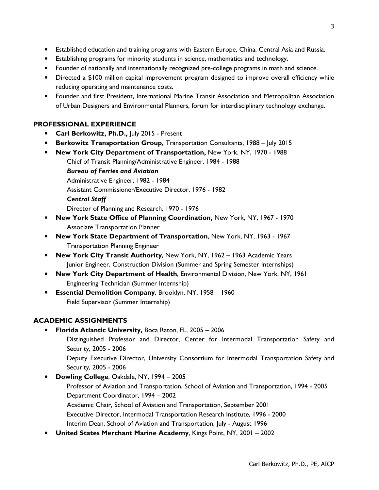- Established education and training programs with Eastern Europe, China, Central Asia and Russia.
- Establishing programs for minority students in science, mathematics and technology.
- Founder of nationally and internationally recognized pre-college programs in math and science.
- Directed a \$100 million capital improvement program designed to improve overall efficiency while reducing operating and maintenance costs.
- Founder and first President, International Marine Transit Association and Metropolitan Association of Urban Designers and Environmental Planners, forum for interdisciplinary technology exchange.

### **PROFESSIONAL EXPERIENCE**

- **Carl Berkowitz, Ph.D.,** July 2015 Present
- **Berkowitz Transportation Group,** Transportation Consultants, 1988 July 2015
- **New York City Department of Transportation,** New York, NY, 1970 1988
	- Chief of Transit Planning/Administrative Engineer, 1984 1988

*Bureau of Ferries and Aviation*

Administrative Engineer, 1982 - 1984

Assistant Commissioner/Executive Director, 1976 - 1982

*Central Staff*

Director of Planning and Research, 1970 - 1976

- **New York State Office of Planning Coordination,** New York, NY, 1967 1970 Associate Transportation Planner
- **New York State Department of Transportation**, New York, NY, 1963 1967 Transportation Planning Engineer
- **New York City Transit Authority**, New York, NY, 1962 1963 Academic Years Junior Engineer, Construction Division (Summer and Spring Semester Internships)
- **New York City Department of Health**, Environmental Division, New York, NY, 1961 Engineering Technician (Summer Internship)
- **Essential Demolition Company**, Brooklyn, NY, 1958 1960 Field Supervisor (Summer Internship)

## **ACADEMIC ASSIGNMENTS**

- **Florida Atlantic University,** Boca Raton, FL, 2005 2006
	- Distinguished Professor and Director, Center for Intermodal Transportation Safety and Security, 2005 - 2006

Deputy Executive Director, University Consortium for Intermodal Transportation Safety and Security, 2005 - 2006

- **Dowling College**, Oakdale, NY, 1994 2005
	- Professor of Aviation and Transportation, School of Aviation and Transportation, 1994 2005 Department Coordinator, 1994 – 2002
		- Academic Chair, School of Aviation and Transportation, September 2001

Executive Director, Intermodal Transportation Research Institute, 1996 - 2000

- Interim Dean, School of Aviation and Transportation, July August 1996
- **United States Merchant Marine Academy**, Kings Point, NY, 2001 2002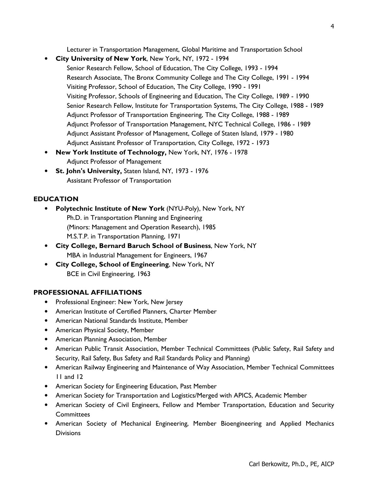Lecturer in Transportation Management, Global Maritime and Transportation School

- **City University of New York**, New York, NY, 1972 1994
	- Senior Research Fellow, School of Education, The City College, 1993 1994 Research Associate, The Bronx Community College and The City College, 1991 - 1994 Visiting Professor, School of Education, The City College, 1990 - 1991 Visiting Professor, Schools of Engineering and Education, The City College, 1989 - 1990 Senior Research Fellow, Institute for Transportation Systems, The City College, 1988 - 1989 Adjunct Professor of Transportation Engineering, The City College, 1988 - 1989 Adjunct Professor of Transportation Management, NYC Technical College, 1986 - 1989 Adjunct Assistant Professor of Management, College of Staten Island, 1979 - 1980 Adjunct Assistant Professor of Transportation, City College, 1972 - 1973
- **New York Institute of Technology,** New York, NY, 1976 1978 Adjunct Professor of Management
- **St. John's University,** Staten Island, NY, 1973 1976 Assistant Professor of Transportation

# **EDUCATION**

- **Polytechnic Institute of New York** (NYU-Poly), New York, NY Ph.D. in Transportation Planning and Engineering (Minors: Management and Operation Research), 1985 M.S.T.P. in Transportation Planning, 1971
- **City College, Bernard Baruch School of Business**, New York, NY MBA in Industrial Management for Engineers, 1967
- **City College, School of Engineering**, New York, NY BCE in Civil Engineering, 1963

## **PROFESSIONAL AFFILIATIONS**

- Professional Engineer: New York, New Jersey
- American Institute of Certified Planners, Charter Member
- American National Standards Institute, Member
- American Physical Society, Member
- American Planning Association, Member
- American Public Transit Association, Member Technical Committees (Public Safety, Rail Safety and Security, Rail Safety, Bus Safety and Rail Standards Policy and Planning)
- American Railway Engineering and Maintenance of Way Association, Member Technical Committees 11 and 12
- American Society for Engineering Education, Past Member
- American Society for Transportation and Logistics/Merged with APICS, Academic Member
- American Society of Civil Engineers, Fellow and Member Transportation, Education and Security **Committees**
- American Society of Mechanical Engineering, Member Bioengineering and Applied Mechanics **Divisions**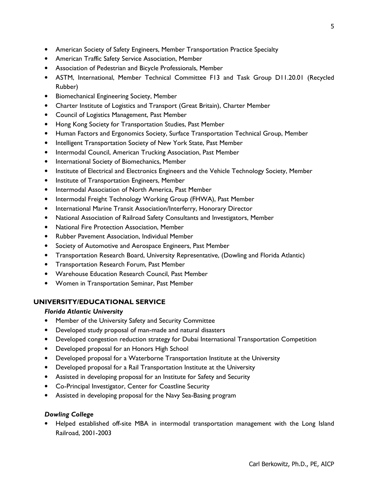- American Society of Safety Engineers, Member Transportation Practice Specialty
- American Traffic Safety Service Association, Member
- Association of Pedestrian and Bicycle Professionals, Member
- ASTM, International, Member Technical Committee F13 and Task Group D11.20.01 (Recycled Rubber)
- Biomechanical Engineering Society, Member
- Charter Institute of Logistics and Transport (Great Britain), Charter Member
- Council of Logistics Management, Past Member
- Hong Kong Society for Transportation Studies, Past Member
- Human Factors and Ergonomics Society, Surface Transportation Technical Group, Member
- Intelligent Transportation Society of New York State, Past Member
- Intermodal Council, American Trucking Association, Past Member
- International Society of Biomechanics, Member
- Institute of Electrical and Electronics Engineers and the Vehicle Technology Society, Member
- Institute of Transportation Engineers, Member
- Intermodal Association of North America, Past Member
- Intermodal Freight Technology Working Group (FHWA), Past Member
- International Marine Transit Association/Interferry, Honorary Director
- National Association of Railroad Safety Consultants and Investigators, Member
- National Fire Protection Association, Member
- Rubber Pavement Association, Individual Member
- Society of Automotive and Aerospace Engineers, Past Member
- Transportation Research Board, University Representative, (Dowling and Florida Atlantic)
- Transportation Research Forum, Past Member
- Warehouse Education Research Council, Past Member
- Women in Transportation Seminar, Past Member

## **UNIVERSITY/EDUCATIONAL SERVICE**

## *Florida Atlantic University*

- Member of the University Safety and Security Committee
- Developed study proposal of man-made and natural disasters
- Developed congestion reduction strategy for Dubai International Transportation Competition
- Developed proposal for an Honors High School
- Developed proposal for a Waterborne Transportation Institute at the University
- Developed proposal for a Rail Transportation Institute at the University
- Assisted in developing proposal for an Institute for Safety and Security
- Co-Principal Investigator, Center for Coastline Security
- Assisted in developing proposal for the Navy Sea-Basing program

## *Dowling College*

• Helped established off-site MBA in intermodal transportation management with the Long Island Railroad, 2001-2003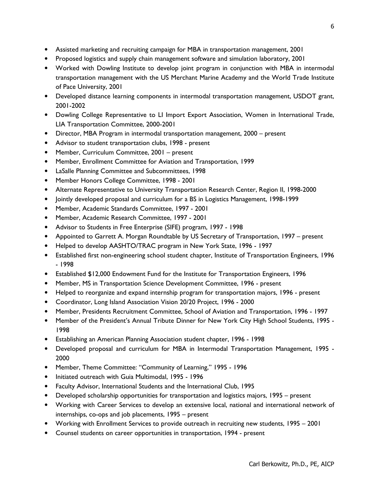- Assisted marketing and recruiting campaign for MBA in transportation management, 2001
- Proposed logistics and supply chain management software and simulation laboratory, 2001
- Worked with Dowling Institute to develop joint program in conjunction with MBA in intermodal transportation management with the US Merchant Marine Academy and the World Trade Institute of Pace University, 2001
- Developed distance learning components in intermodal transportation management, USDOT grant, 2001-2002
- Dowling College Representative to LI Import Export Association, Women in International Trade, LIA Transportation Committee, 2000-2001
- Director, MBA Program in intermodal transportation management, 2000 present
- Advisor to student transportation clubs, 1998 present
- Member, Curriculum Committee, 2001 present
- Member, Enrollment Committee for Aviation and Transportation, 1999
- LaSalle Planning Committee and Subcommittees, 1998
- Member Honors College Committee, 1998 2001
- Alternate Representative to University Transportation Research Center, Region II, 1998-2000
- Jointly developed proposal and curriculum for a BS in Logistics Management, 1998-1999
- Member, Academic Standards Committee, 1997 2001
- Member, Academic Research Committee, 1997 2001
- Advisor to Students in Free Enterprise (SIFE) program, 1997 1998
- Appointed to Garrett A. Morgan Roundtable by US Secretary of Transportation, 1997 present
- Helped to develop AASHTO/TRAC program in New York State, 1996 1997
- Established first non-engineering school student chapter, Institute of Transportation Engineers, 1996 - 1998
- Established \$12,000 Endowment Fund for the Institute for Transportation Engineers, 1996
- Member, MS in Transportation Science Development Committee, 1996 present
- Helped to reorganize and expand internship program for transportation majors, 1996 present
- Coordinator, Long Island Association Vision 20/20 Project, 1996 2000
- Member, Presidents Recruitment Committee, School of Aviation and Transportation, 1996 1997
- Member of the President's Annual Tribute Dinner for New York City High School Students, 1995 1998
- Establishing an American Planning Association student chapter, 1996 1998
- Developed proposal and curriculum for MBA in Intermodal Transportation Management, 1995 2000
- Member, Theme Committee: "Community of Learning," 1995 1996
- Initiated outreach with Guia Multimodal, 1995 1996
- Faculty Advisor, International Students and the International Club, 1995
- Developed scholarship opportunities for transportation and logistics majors, 1995 present
- Working with Career Services to develop an extensive local, national and international network of internships, co-ops and job placements, 1995 – present
- Working with Enrollment Services to provide outreach in recruiting new students, 1995 2001
- Counsel students on career opportunities in transportation, 1994 present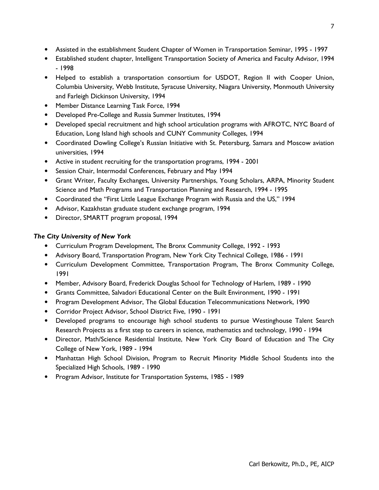- Assisted in the establishment Student Chapter of Women in Transportation Seminar, 1995 1997
- Established student chapter, Intelligent Transportation Society of America and Faculty Advisor, 1994 - 1998
- Helped to establish a transportation consortium for USDOT, Region II with Cooper Union, Columbia University, Webb Institute, Syracuse University, Niagara University, Monmouth University and Farleigh Dickinson University, 1994
- Member Distance Learning Task Force, 1994
- Developed Pre-College and Russia Summer Institutes, 1994
- Developed special recruitment and high school articulation programs with AFROTC, NYC Board of Education, Long Island high schools and CUNY Community Colleges, 1994
- Coordinated Dowling College's Russian Initiative with St. Petersburg, Samara and Moscow aviation universities, 1994
- Active in student recruiting for the transportation programs, 1994 2001
- Session Chair, Intermodal Conferences, February and May 1994
- Grant Writer, Faculty Exchanges, University Partnerships, Young Scholars, ARPA, Minority Student Science and Math Programs and Transportation Planning and Research, 1994 - 1995
- Coordinated the "First Little League Exchange Program with Russia and the US," 1994
- Advisor, Kazakhstan graduate student exchange program, 1994
- Director, SMARTT program proposal, 1994

## *The City University of New York*

- Curriculum Program Development, The Bronx Community College, 1992 1993
- Advisory Board, Transportation Program, New York City Technical College, 1986 1991
- Curriculum Development Committee, Transportation Program, The Bronx Community College, 1991
- Member, Advisory Board, Frederick Douglas School for Technology of Harlem, 1989 1990
- Grants Committee, Salvadori Educational Center on the Built Environment, 1990 1991
- Program Development Advisor, The Global Education Telecommunications Network, 1990
- Corridor Project Advisor, School District Five, 1990 1991
- Developed programs to encourage high school students to pursue Westinghouse Talent Search Research Projects as a first step to careers in science, mathematics and technology, 1990 - 1994
- Director, Math/Science Residential Institute, New York City Board of Education and The City College of New York, 1989 - 1994
- Manhattan High School Division, Program to Recruit Minority Middle School Students into the Specialized High Schools, 1989 - 1990
- Program Advisor, Institute for Transportation Systems, 1985 1989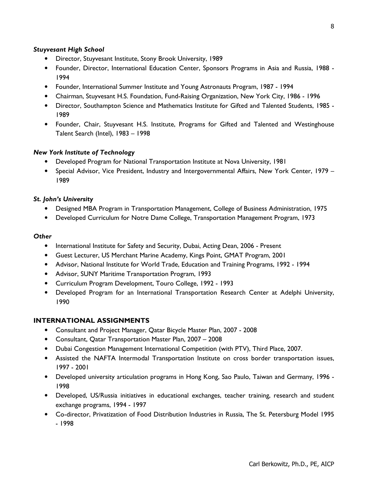### *Stuyvesant High School*

- Director, Stuyvesant Institute, Stony Brook University, 1989
- Founder, Director, International Education Center, Sponsors Programs in Asia and Russia, 1988 1994
- Founder, International Summer Institute and Young Astronauts Program, 1987 1994
- Chairman, Stuyvesant H.S. Foundation, Fund-Raising Organization, New York City, 1986 1996
- Director, Southampton Science and Mathematics Institute for Gifted and Talented Students, 1985 1989
- Founder, Chair, Stuyvesant H.S. Institute, Programs for Gifted and Talented and Westinghouse Talent Search (Intel), 1983 – 1998

### *New York Institute of Technology*

- Developed Program for National Transportation Institute at Nova University, 1981
- Special Advisor, Vice President, Industry and Intergovernmental Affairs, New York Center, 1979 1989

#### *St. John's University*

- Designed MBA Program in Transportation Management, College of Business Administration, 1975
- Developed Curriculum for Notre Dame College, Transportation Management Program, 1973

#### *Other*

- International Institute for Safety and Security, Dubai, Acting Dean, 2006 Present
- Guest Lecturer, US Merchant Marine Academy, Kings Point, GMAT Program, 2001
- Advisor, National Institute for World Trade, Education and Training Programs, 1992 1994
- Advisor, SUNY Maritime Transportation Program, 1993
- Curriculum Program Development, Touro College, 1992 1993
- Developed Program for an International Transportation Research Center at Adelphi University, 1990

#### **INTERNATIONAL ASSIGNMENTS**

- Consultant and Project Manager, Qatar Bicycle Master Plan, 2007 2008
- Consultant, Qatar Transportation Master Plan, 2007 2008
- Dubai Congestion Management International Competition (with PTV), Third Place, 2007.
- Assisted the NAFTA Intermodal Transportation Institute on cross border transportation issues, 1997 - 2001
- Developed university articulation programs in Hong Kong, Sao Paulo, Taiwan and Germany, 1996 1998
- Developed, US/Russia initiatives in educational exchanges, teacher training, research and student exchange programs, 1994 - 1997
- Co-director, Privatization of Food Distribution Industries in Russia, The St. Petersburg Model 1995 - 1998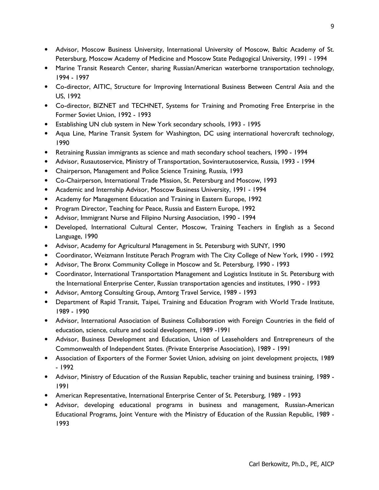- Advisor, Moscow Business University, International University of Moscow, Baltic Academy of St. Petersburg, Moscow Academy of Medicine and Moscow State Pedagogical University, 1991 - 1994
- Marine Transit Research Center, sharing Russian/American waterborne transportation technology, 1994 - 1997
- Co-director, AITIC, Structure for Improving International Business Between Central Asia and the US, 1992
- Co-director, BIZNET and TECHNET, Systems for Training and Promoting Free Enterprise in the Former Soviet Union, 1992 - 1993
- Establishing UN club system in New York secondary schools, 1993 1995
- Aqua Line, Marine Transit System for Washington, DC using international hovercraft technology, 1990
- Retraining Russian immigrants as science and math secondary school teachers, 1990 1994
- Advisor, Rusautoservice, Ministry of Transportation, Sovinterautoservice, Russia, 1993 1994
- Chairperson, Management and Police Science Training, Russia, 1993
- Co-Chairperson, International Trade Mission, St. Petersburg and Moscow, 1993
- Academic and Internship Advisor, Moscow Business University, 1991 1994
- Academy for Management Education and Training in Eastern Europe, 1992
- Program Director, Teaching for Peace, Russia and Eastern Europe, 1992
- Advisor, Immigrant Nurse and Filipino Nursing Association, 1990 1994
- Developed, International Cultural Center, Moscow, Training Teachers in English as a Second Language, 1990
- Advisor, Academy for Agricultural Management in St. Petersburg with SUNY, 1990
- Coordinator, Weizmann Institute Perach Program with The City College of New York, 1990 1992
- Advisor, The Bronx Community College in Moscow and St. Petersburg, 1990 1993
- Coordinator, International Transportation Management and Logistics Institute in St. Petersburg with the International Enterprise Center, Russian transportation agencies and institutes, 1990 - 1993
- Advisor, Amtorg Consulting Group, Amtorg Travel Service, 1989 1993
- Department of Rapid Transit, Taipei, Training and Education Program with World Trade Institute, 1989 - 1990
- Advisor, International Association of Business Collaboration with Foreign Countries in the field of education, science, culture and social development, 1989 -1991
- Advisor, Business Development and Education, Union of Leaseholders and Entrepreneurs of the Commonwealth of Independent States. (Private Enterprise Association), 1989 - 1991
- Association of Exporters of the Former Soviet Union, advising on joint development projects, 1989 - 1992
- Advisor, Ministry of Education of the Russian Republic, teacher training and business training, 1989 1991
- American Representative, International Enterprise Center of St. Petersburg, 1989 1993
- Advisor, developing educational programs in business and management, Russian-American Educational Programs, Joint Venture with the Ministry of Education of the Russian Republic, 1989 - 1993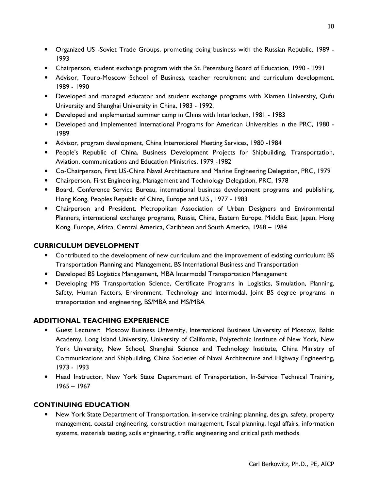- Organized US -Soviet Trade Groups, promoting doing business with the Russian Republic, 1989 1993
- Chairperson, student exchange program with the St. Petersburg Board of Education, 1990 1991
- Advisor, Touro-Moscow School of Business, teacher recruitment and curriculum development, 1989 - 1990
- Developed and managed educator and student exchange programs with Xiamen University, Qufu University and Shanghai University in China, 1983 - 1992.
- Developed and implemented summer camp in China with Interlocken, 1981 1983
- Developed and Implemented International Programs for American Universities in the PRC, 1980 1989
- Advisor, program development, China International Meeting Services, 1980 -1984
- People's Republic of China, Business Development Projects for Shipbuilding, Transportation, Aviation, communications and Education Ministries, 1979 -1982
- Co-Chairperson, First US-China Naval Architecture and Marine Engineering Delegation, PRC, 1979
- Chairperson, First Engineering, Management and Technology Delegation, PRC, 1978
- Board, Conference Service Bureau, international business development programs and publishing, Hong Kong, Peoples Republic of China, Europe and U.S., 1977 - 1983
- Chairperson and President, Metropolitan Association of Urban Designers and Environmental Planners, international exchange programs, Russia, China, Eastern Europe, Middle East, Japan, Hong Kong, Europe, Africa, Central America, Caribbean and South America, 1968 – 1984

# **CURRICULUM DEVELOPMENT**

- Contributed to the development of new curriculum and the improvement of existing curriculum: BS Transportation Planning and Management, BS International Business and Transportation
- Developed BS Logistics Management, MBA Intermodal Transportation Management
- Developing MS Transportation Science, Certificate Programs in Logistics, Simulation, Planning, Safety, Human Factors, Environment, Technology and Intermodal, Joint BS degree programs in transportation and engineering, BS/MBA and MS/MBA

## **ADDITIONAL TEACHING EXPERIENCE**

- Guest Lecturer: Moscow Business University, International Business University of Moscow, Baltic Academy, Long Island University, University of California, Polytechnic Institute of New York, New York University, New School, Shanghai Science and Technology Institute, China Ministry of Communications and Shipbuilding, China Societies of Naval Architecture and Highway Engineering, 1973 - 1993
- Head Instructor, New York State Department of Transportation, In-Service Technical Training, 1965 – 1967

# **CONTINUING EDUCATION**

• New York State Department of Transportation, in-service training: planning, design, safety, property management, coastal engineering, construction management, fiscal planning, legal affairs, information systems, materials testing, soils engineering, traffic engineering and critical path methods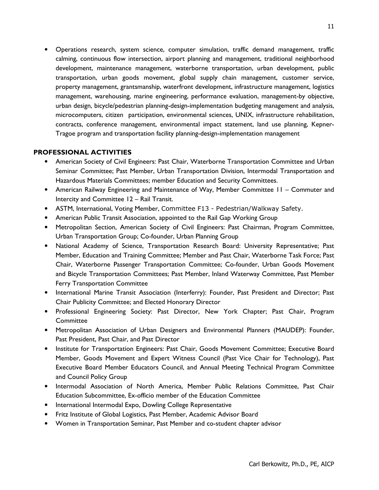• Operations research, system science, computer simulation, traffic demand management, traffic calming, continuous flow intersection, airport planning and management, traditional neighborhood development, maintenance management, waterborne transportation, urban development, public transportation, urban goods movement, global supply chain management, customer service, property management, grantsmanship, waterfront development, infrastructure management, logistics management, warehousing, marine engineering, performance evaluation, management-by objective, urban design, bicycle/pedestrian planning-design-implementation budgeting management and analysis, microcomputers, citizen participation, environmental sciences, UNIX, infrastructure rehabilitation, contracts, conference management, environmental impact statement, land use planning, Kepner-Tragoe program and transportation facility planning-design-implementation management

#### **PROFESSIONAL ACTIVITIES**

- American Society of Civil Engineers: Past Chair, Waterborne Transportation Committee and Urban Seminar Committee; Past Member, Urban Transportation Division, Intermodal Transportation and Hazardous Materials Committees; member Education and Security Committees.
- American Railway Engineering and Maintenance of Way, Member Committee 11 Commuter and Intercity and Committee 12 – Rail Transit.
- ASTM, International, Voting Member, Committee F13 Pedestrian/Walkway Safety.
- American Public Transit Association, appointed to the Rail Gap Working Group
- Metropolitan Section, American Society of Civil Engineers: Past Chairman, Program Committee, Urban Transportation Group; Co-founder, Urban Planning Group
- National Academy of Science, Transportation Research Board: University Representative; Past Member, Education and Training Committee; Member and Past Chair, Waterborne Task Force; Past Chair, Waterborne Passenger Transportation Committee; Co-founder, Urban Goods Movement and Bicycle Transportation Committees; Past Member, Inland Waterway Committee, Past Member Ferry Transportation Committee
- International Marine Transit Association (Interferry): Founder, Past President and Director; Past Chair Publicity Committee; and Elected Honorary Director
- Professional Engineering Society: Past Director, New York Chapter; Past Chair, Program **Committee**
- Metropolitan Association of Urban Designers and Environmental Planners (MAUDEP): Founder, Past President, Past Chair, and Past Director
- Institute for Transportation Engineers: Past Chair, Goods Movement Committee; Executive Board Member, Goods Movement and Expert Witness Council (Past Vice Chair for Technology), Past Executive Board Member Educators Council, and Annual Meeting Technical Program Committee and Council Policy Group
- Intermodal Association of North America, Member Public Relations Committee, Past Chair Education Subcommittee, Ex-officio member of the Education Committee
- International Intermodal Expo, Dowling College Representative
- Fritz Institute of Global Logistics, Past Member, Academic Advisor Board
- Women in Transportation Seminar, Past Member and co-student chapter advisor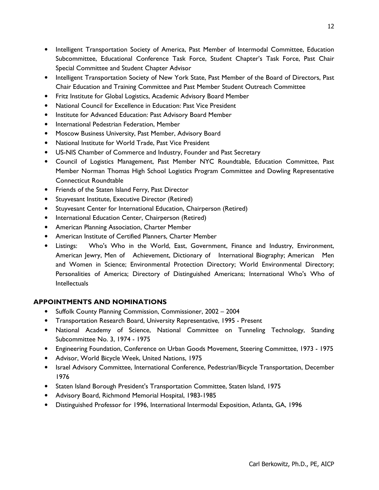- Intelligent Transportation Society of America, Past Member of Intermodal Committee, Education Subcommittee, Educational Conference Task Force, Student Chapter's Task Force, Past Chair Special Committee and Student Chapter Advisor
- Intelligent Transportation Society of New York State, Past Member of the Board of Directors, Past Chair Education and Training Committee and Past Member Student Outreach Committee
- Fritz Institute for Global Logistics, Academic Advisory Board Member
- National Council for Excellence in Education: Past Vice President
- Institute for Advanced Education: Past Advisory Board Member
- International Pedestrian Federation, Member
- Moscow Business University, Past Member, Advisory Board
- National Institute for World Trade, Past Vice President
- US-NIS Chamber of Commerce and Industry, Founder and Past Secretary
- Council of Logistics Management, Past Member NYC Roundtable, Education Committee, Past Member Norman Thomas High School Logistics Program Committee and Dowling Representative Connecticut Roundtable
- Friends of the Staten Island Ferry, Past Director
- Stuyvesant Institute, Executive Director (Retired)
- Stuyvesant Center for International Education, Chairperson (Retired)
- International Education Center, Chairperson (Retired)
- American Planning Association, Charter Member
- American Institute of Certified Planners, Charter Member
- Listings: Who's Who in the World, East, Government, Finance and Industry, Environment, American Jewry, Men of Achievement, Dictionary of International Biography; American Men and Women in Science; Environmental Protection Directory; World Environmental Directory; Personalities of America; Directory of Distinguished Americans; International Who's Who of **Intellectuals**

## **APPOINTMENTS AND NOMINATIONS**

- Suffolk County Planning Commission, Commissioner, 2002 2004
- Transportation Research Board, University Representative, 1995 Present
- National Academy of Science, National Committee on Tunneling Technology, Standing Subcommittee No. 3, 1974 - 1975
- Engineering Foundation, Conference on Urban Goods Movement, Steering Committee, 1973 1975
- Advisor, World Bicycle Week, United Nations, 1975
- Israel Advisory Committee, International Conference, Pedestrian/Bicycle Transportation, December 1976
- Staten Island Borough President's Transportation Committee, Staten Island, 1975
- Advisory Board, Richmond Memorial Hospital, 1983-1985
- Distinguished Professor for 1996, International Intermodal Exposition, Atlanta, GA, 1996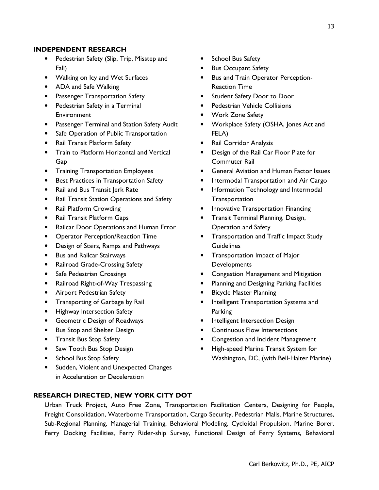#### **INDEPENDENT RESEARCH**

- Pedestrian Safety (Slip, Trip, Misstep and Fall)
- Walking on Icy and Wet Surfaces
- ADA and Safe Walking
- Passenger Transportation Safety
- Pedestrian Safety in a Terminal Environment
- Passenger Terminal and Station Safety Audit
- Safe Operation of Public Transportation
- Rail Transit Platform Safety
- Train to Platform Horizontal and Vertical Gap
- Training Transportation Employees
- Best Practices in Transportation Safety
- Rail and Bus Transit Jerk Rate
- Rail Transit Station Operations and Safety
- Rail Platform Crowding
- Rail Transit Platform Gaps
- Railcar Door Operations and Human Error
- Operator Perception/Reaction Time
- Design of Stairs, Ramps and Pathways
- Bus and Railcar Stairways
- Railroad Grade-Crossing Safety
- Safe Pedestrian Crossings
- Railroad Right-of-Way Trespassing
- Airport Pedestrian Safety
- Transporting of Garbage by Rail
- Highway Intersection Safety
- Geometric Design of Roadways
- Bus Stop and Shelter Design
- Transit Bus Stop Safety
- Saw Tooth Bus Stop Design
- School Bus Stop Safety
- Sudden, Violent and Unexpected Changes in Acceleration or Deceleration
- School Bus Safety
- Bus Occupant Safety
- Bus and Train Operator Perception-Reaction Time
- Student Safety Door to Door
- Pedestrian Vehicle Collisions
- Work Zone Safety
- Workplace Safety (OSHA, Jones Act and FELA)
- Rail Corridor Analysis
- Design of the Rail Car Floor Plate for Commuter Rail
- General Aviation and Human Factor Issues
- Intermodal Transportation and Air Cargo
- Information Technology and Intermodal **Transportation**
- Innovative Transportation Financing
- Transit Terminal Planning, Design, Operation and Safety
- Transportation and Traffic Impact Study **Guidelines**
- Transportation Impact of Major Developments
- Congestion Management and Mitigation
- Planning and Designing Parking Facilities
- Bicycle Master Planning
- Intelligent Transportation Systems and Parking
- Intelligent Intersection Design
- Continuous Flow Intersections
- Congestion and Incident Management
- High-speed Marine Transit System for Washington, DC, (with Bell-Halter Marine)

#### **RESEARCH DIRECTED, NEW YORK CITY DOT**

Urban Truck Project, Auto Free Zone, Transportation Facilitation Centers, Designing for People, Freight Consolidation, Waterborne Transportation, Cargo Security, Pedestrian Malls, Marine Structures, Sub-Regional Planning, Managerial Training, Behavioral Modeling, Cycloidal Propulsion, Marine Borer, Ferry Docking Facilities, Ferry Rider-ship Survey, Functional Design of Ferry Systems, Behavioral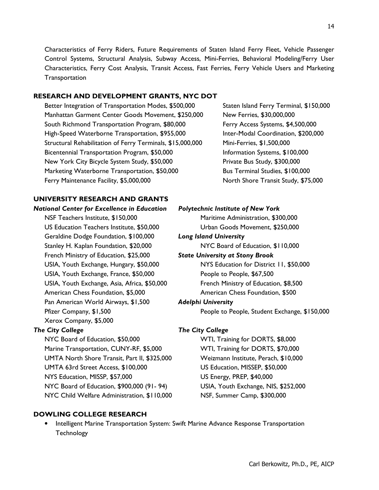Characteristics of Ferry Riders, Future Requirements of Staten Island Ferry Fleet, Vehicle Passenger Control Systems, Structural Analysis, Subway Access, Mini-Ferries, Behavioral Modeling/Ferry User Characteristics, Ferry Cost Analysis, Transit Access, Fast Ferries, Ferry Vehicle Users and Marketing Transportation

## **RESEARCH AND DEVELOPMENT GRANTS, NYC DOT**

Better Integration of Transportation Modes, \$500,000 Staten Island Ferry Terminal, \$150,000 Manhattan Garment Center Goods Movement, \$250,000 New Ferries, \$30,000,000 South Richmond Transportation Program, \$80,000 Ferry Access Systems, \$4,500,000 High-Speed Waterborne Transportation, \$955,000 Inter-Modal Coordination, \$200,000 Structural Rehabilitation of Ferry Terminals, \$15,000,000 Mini-Ferries, \$1,500,000 Bicentennial Transportation Program, \$50,000 Information Systems, \$100,000 New York City Bicycle System Study, \$50,000 Private Bus Study, \$300,000 Marketing Waterborne Transportation, \$50,000 Bus Terminal Studies, \$100,000 Ferry Maintenance Facility, \$5,000,000 North Shore Transit Study, \$75,000

# **UNIVERSITY RESEARCH AND GRANTS**

*National Center for Excellence in Education* NSF Teachers Institute, \$150,000 US Education Teachers Institute, \$50,000 Geraldine Dodge Foundation, \$100,000 Stanley H. Kaplan Foundation, \$20,000 French Ministry of Education, \$25,000 USIA, Youth Exchange, Hungary, \$50,000 USIA, Youth Exchange, France, \$50,000 USIA, Youth Exchange, Asia, Africa, \$50,000 American Chess Foundation, \$5,000 Pan American World Airways, \$1,500 Xerox Company, \$5,000

## *The City College The City College*

NYC Board of Education, \$50,000 WTI, Training for DORTS, \$8,000 Marine Transportation, CUNY-RF, \$5,000 WTI, Training for DORTS, \$70,000 UMTA North Shore Transit, Part II, \$325,000 Weizmann Institute, Perach, \$10,000 UMTA 63rd Street Access, \$100,000 US Education, MISSEP, \$50,000 NYS Education, MISSP, \$57,000 US Energy, PREP, \$40,000 NYC Board of Education, \$900,000 (91- 94) USIA, Youth Exchange, NIS, \$252,000 NYC Child Welfare Administration, \$110,000 NSF, Summer Camp, \$300,000

| tional Center for Excellence in Education    | <b>Polytechnic Institute of New York</b>      |
|----------------------------------------------|-----------------------------------------------|
| NSF Teachers Institute, \$150,000            | Maritime Administration, \$300,000            |
| US Education Teachers Institute, \$50,000    | Urban Goods Movement, \$250,000               |
| Geraldine Dodge Foundation, \$100,000        | <b>Long Island University</b>                 |
| Stanley H. Kaplan Foundation, \$20,000       | NYC Board of Education, \$110,000             |
| French Ministry of Education, \$25,000       | <b>State University at Stony Brook</b>        |
| USIA, Youth Exchange, Hungary, \$50,000      | NYS Education for District 11, \$50,000       |
| USIA, Youth Exchange, France, \$50,000       | People to People, \$67,500                    |
| USIA, Youth Exchange, Asia, Africa, \$50,000 | French Ministry of Education, \$8,500         |
| American Chess Foundation, \$5,000           | American Chess Foundation, \$500              |
| Pan American World Airways, \$1,500          | <b>Adelphi University</b>                     |
| Pfizer Company, \$1,500                      | People to People, Student Exchange, \$150,000 |
| Xerox Company, \$5,000                       |                                               |
|                                              |                                               |

## **DOWLING COLLEGE RESEARCH**

• Intelligent Marine Transportation System: Swift Marine Advance Response Transportation **Technology**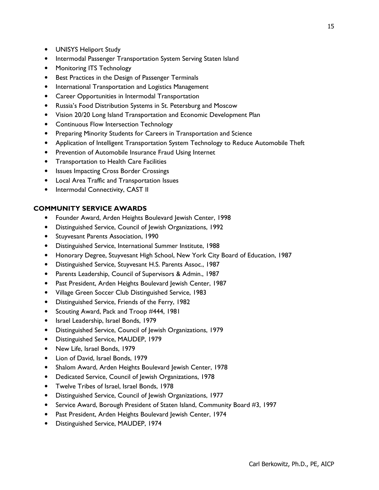- UNISYS Heliport Study
- Intermodal Passenger Transportation System Serving Staten Island
- Monitoring ITS Technology
- Best Practices in the Design of Passenger Terminals
- International Transportation and Logistics Management
- Career Opportunities in Intermodal Transportation
- Russia's Food Distribution Systems in St. Petersburg and Moscow
- Vision 20/20 Long Island Transportation and Economic Development Plan
- Continuous Flow Intersection Technology
- Preparing Minority Students for Careers in Transportation and Science
- Application of Intelligent Transportation System Technology to Reduce Automobile Theft
- Prevention of Automobile Insurance Fraud Using Internet
- Transportation to Health Care Facilities
- Issues Impacting Cross Border Crossings
- Local Area Traffic and Transportation Issues
- Intermodal Connectivity, CAST II

#### **COMMUNITY SERVICE AWARDS**

- Founder Award, Arden Heights Boulevard Jewish Center, 1998
- Distinguished Service, Council of Jewish Organizations, 1992
- Stuyvesant Parents Association, 1990
- Distinguished Service, International Summer Institute, 1988
- Honorary Degree, Stuyvesant High School, New York City Board of Education, 1987
- Distinguished Service, Stuyvesant H.S. Parents Assoc., 1987
- Parents Leadership, Council of Supervisors & Admin., 1987
- Past President, Arden Heights Boulevard Jewish Center, 1987
- Village Green Soccer Club Distinguished Service, 1983
- Distinguished Service, Friends of the Ferry, 1982
- Scouting Award, Pack and Troop #444, 1981
- Israel Leadership, Israel Bonds, 1979
- Distinguished Service, Council of Jewish Organizations, 1979
- Distinguished Service, MAUDEP, 1979
- New Life, Israel Bonds, 1979
- Lion of David, Israel Bonds, 1979
- Shalom Award, Arden Heights Boulevard Jewish Center, 1978
- Dedicated Service, Council of Jewish Organizations, 1978
- Twelve Tribes of Israel, Israel Bonds, 1978
- Distinguished Service, Council of Jewish Organizations, 1977
- Service Award, Borough President of Staten Island, Community Board #3, 1997
- Past President, Arden Heights Boulevard Jewish Center, 1974
- Distinguished Service, MAUDEP, 1974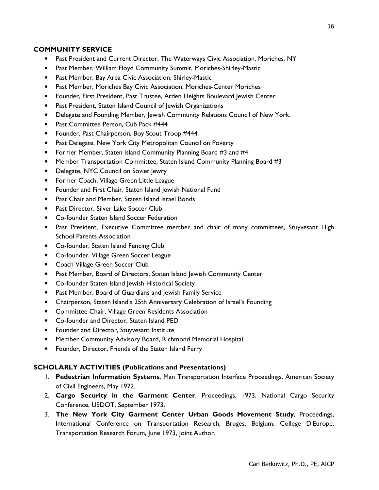## **COMMUNITY SERVICE**

- Past President and Current Director, The Waterways Civic Association, Moriches, NY
- Past Member, William Floyd Community Summit, Moriches-Shirley-Mastic
- Past Member, Bay Area Civic Association, Shirley-Mastic
- Past Member, Moriches Bay Civic Association, Moriches-Center Moriches
- Founder, First President, Past Trustee, Arden Heights Boulevard Jewish Center
- Past President, Staten Island Council of Jewish Organizations
- Delegate and Founding Member, Jewish Community Relations Council of New York.
- Past Committee Person, Cub Pack #444
- Founder, Past Chairperson, Boy Scout Troop #444
- Past Delegate, New York City Metropolitan Council on Poverty
- Former Member, Staten Island Community Planning Board #3 and #4
- Member Transportation Committee, Staten Island Community Planning Board #3
- Delegate, NYC Council on Soviet Jewry
- Former Coach, Village Green Little League
- Founder and First Chair, Staten Island Jewish National Fund
- Past Chair and Member, Staten Island Israel Bonds
- Past Director, Silver Lake Soccer Club
- Co-founder Staten Island Soccer Federation
- Past President, Executive Committee member and chair of many committees, Stuyvesant High School Parents Association
- Co-founder, Staten Island Fencing Club
- Co-founder, Village Green Soccer League
- Coach Village Green Soccer Club
- Past Member, Board of Directors, Staten Island Jewish Community Center
- Co-founder Staten Island Jewish Historical Society
- Past Member, Board of Guardians and Jewish Family Service
- Chairperson, Staten Island's 25th Anniversary Celebration of Israel's Founding
- Committee Chair, Village Green Residents Association
- Co-founder and Director, Staten Island PED
- Founder and Director, Stuyvesant Institute
- Member Community Advisory Board, Richmond Memorial Hospital
- Founder, Director, Friends of the Staten Island Ferry

#### **SCHOLARLY ACTIVITIES (Publications and Presentations)**

- 1. **Pedestrian Information Systems**, Man Transportation Interface Proceedings, American Society of Civil Engineers, May 1972.
- 2. **Cargo Security in the Garment Center**, Proceedings, 1973, National Cargo Security Conference, USDOT, September 1973.
- 3. **The New York City Garment Center Urban Goods Movement Study**, Proceedings, International Conference on Transportation Research, Bruges, Belgium, College D'Europe, Transportation Research Forum, June 1973, Joint Author.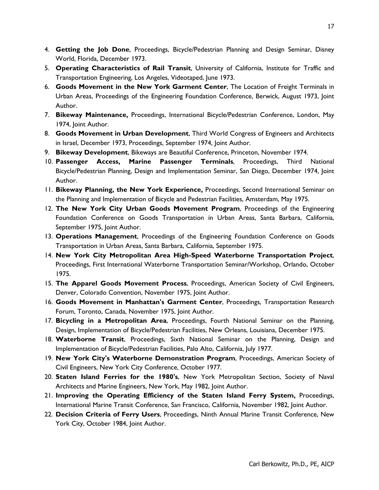- 4. **Getting the Job Done**, Proceedings, Bicycle/Pedestrian Planning and Design Seminar, Disney World, Florida, December 1973.
- 5. **Operating Characteristics of Rail Transit**, University of California, Institute for Traffic and Transportation Engineering, Los Angeles, Videotaped, June 1973.
- 6. **Goods Movement in the New York Garment Center**, The Location of Freight Terminals in Urban Areas, Proceedings of the Engineering Foundation Conference, Berwick, August 1973, Joint Author.
- 7. **Bikeway Maintenance,** Proceedings, International Bicycle/Pedestrian Conference, London, May 1974, Joint Author.
- 8. **Goods Movement in Urban Development**, Third World Congress of Engineers and Architects in Israel, December 1973, Proceedings, September 1974, Joint Author.
- 9. **Bikeway Development**, Bikeways are Beautiful Conference, Princeton, November 1974.
- 10. **Passenger Access, Marine Passenger Terminals**, Proceedings, Third National Bicycle/Pedestrian Planning, Design and Implementation Seminar, San Diego, December 1974, Joint Author.
- 11. **Bikeway Planning, the New York Experience,** Proceedings, Second International Seminar on the Planning and Implementation of Bicycle and Pedestrian Facilities, Amsterdam, May 1975.
- 12. **The New York City Urban Goods Movement Program**, Proceedings of the Engineering Foundation Conference on Goods Transportation in Urban Areas, Santa Barbara, California, September 1975, Joint Author.
- 13. **Operations Management**, Proceedings of the Engineering Foundation Conference on Goods Transportation in Urban Areas, Santa Barbara, California, September 1975.
- 14. **New York City Metropolitan Area High-Speed Waterborne Transportation Project**, Proceedings, First International Waterborne Transportation Seminar/Workshop, Orlando, October 1975.
- 15. **The Apparel Goods Movement Process**, Proceedings, American Society of Civil Engineers, Denver, Colorado Convention, November 1975, Joint Author.
- 16. **Goods Movement in Manhattan's Garment Center**, Proceedings, Transportation Research Forum, Toronto, Canada, November 1975, Joint Author.
- 17. **Bicycling in a Metropolitan Area**, Proceedings, Fourth National Seminar on the Planning, Design, Implementation of Bicycle/Pedestrian Facilities, New Orleans, Louisiana, December 1975.
- 18. **Waterborne Transit**, Proceedings, Sixth National Seminar on the Planning, Design and Implementation of Bicycle/Pedestrian Facilities, Palo Alto, California, July 1977.
- 19. **New York City's Waterborne Demonstration Program**, Proceedings, American Society of Civil Engineers, New York City Conference, October 1977.
- 20. **Staten Island Ferries for the 1980's**, New York Metropolitan Section, Society of Naval Architects and Marine Engineers, New York, May 1982, Joint Author.
- 21. **Improving the Operating Efficiency of the Staten Island Ferry System,** Proceedings, International Marine Transit Conference, San Francisco, California, November 1982, Joint Author.
- 22. **Decision Criteria of Ferry Users**, Proceedings, Ninth Annual Marine Transit Conference, New York City, October 1984, Joint Author.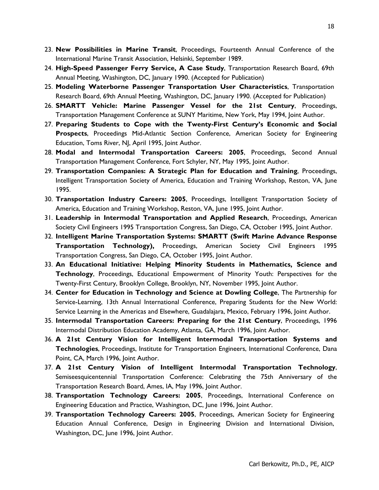- 23. **New Possibilities in Marine Transit**, Proceedings, Fourteenth Annual Conference of the International Marine Transit Association, Helsinki, September 1989.
- 24. **High-Speed Passenger Ferry Service, A Case Study**, Transportation Research Board, 69th Annual Meeting, Washington, DC, January 1990. (Accepted for Publication)
- 25. **Modeling Waterborne Passenger Transportation User Characteristics**, Transportation Research Board, 69th Annual Meeting, Washington, DC, January 1990. (Accepted for Publication)
- 26. **SMARTT Vehicle: Marine Passenger Vessel for the 21st Century**, Proceedings, Transportation Management Conference at SUNY Maritime, New York, May 1994, Joint Author.
- 27. **Preparing Students to Cope with the Twenty-First Century's Economic and Social Prospects**, Proceedings Mid-Atlantic Section Conference, American Society for Engineering Education, Toms River, NJ, April 1995, Joint Author.
- 28. **Modal and Intermodal Transportation Careers: 2005**, Proceedings, Second Annual Transportation Management Conference, Fort Schyler, NY, May 1995, Joint Author.
- 29. **Transportation Companies: A Strategic Plan for Education and Training**, Proceedings, Intelligent Transportation Society of America, Education and Training Workshop, Reston, VA, June 1995.
- 30. **Transportation Industry Careers: 2005**, Proceedings, Intelligent Transportation Society of America, Education and Training Workshop, Reston, VA, June 1995, Joint Author.
- 31. **Leadership in Intermodal Transportation and Applied Research**, Proceedings, American Society Civil Engineers 1995 Transportation Congress, San Diego, CA, October 1995, Joint Author.
- 32. **Intelligent Marine Transportation Systems: SMARTT (Swift Marine Advance Response Transportation Technology),** Proceedings, American Society Civil Engineers 1995 Transportation Congress, San Diego, CA, October 1995, Joint Author.
- 33. **An Educational Initiative: Helping Minority Students in Mathematics, Science and Technology**, Proceedings, Educational Empowerment of Minority Youth: Perspectives for the Twenty-First Century, Brooklyn College, Brooklyn, NY, November 1995, Joint Author.
- 34. **Center for Education in Technology and Science at Dowling College**, The Partnership for Service-Learning, 13th Annual International Conference, Preparing Students for the New World: Service Learning in the Americas and Elsewhere, Guadalajara, Mexico, February 1996, Joint Author.
- 35. **Intermodal Transportation Careers: Preparing for the 21st Century**, Proceedings, 1996 Intermodal Distribution Education Academy, Atlanta, GA, March 1996, Joint Author.
- 36. **A 21st Century Vision for Intelligent Intermodal Transportation Systems and Technologies**, Proceedings, Institute for Transportation Engineers, International Conference, Dana Point, CA, March 1996, Joint Author.
- 37. **A 21st Century Vision of Intelligent Intermodal Transportation Technology**, Semiseesquicentennial Transportation Conference: Celebrating the 75th Anniversary of the Transportation Research Board, Ames, IA, May 1996, Joint Author.
- 38. **Transportation Technology Careers: 2005**, Proceedings, International Conference on Engineering Education and Practice, Washington, DC, June 1996, Joint Author.
- 39. **Transportation Technology Careers: 2005**, Proceedings, American Society for Engineering Education Annual Conference, Design in Engineering Division and International Division, Washington, DC, June 1996, Joint Author.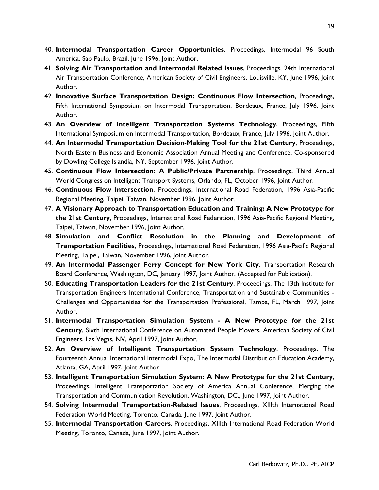- 40. **Intermodal Transportation Career Opportunities**, Proceedings, Intermodal 96 South America, Sao Paulo, Brazil, June 1996, Joint Author.
- 41. **Solving Air Transportation and Intermodal Related Issues**, Proceedings, 24th International Air Transportation Conference, American Society of Civil Engineers, Louisville, KY, June 1996, Joint Author.
- 42. **Innovative Surface Transportation Design: Continuous Flow Intersection**, Proceedings, Fifth International Symposium on Intermodal Transportation, Bordeaux, France, July 1996, Joint Author.
- 43. **An Overview of Intelligent Transportation Systems Technology**, Proceedings, Fifth International Symposium on Intermodal Transportation, Bordeaux, France, July 1996, Joint Author.
- 44. **An Intermodal Transportation Decision-Making Tool for the 21st Century**, Proceedings, North Eastern Business and Economic Association Annual Meeting and Conference, Co-sponsored by Dowling College Islandia, NY, September 1996, Joint Author.
- 45. **Continuous Flow Intersection: A Public/Private Partnership**, Proceedings, Third Annual World Congress on Intelligent Transport Systems, Orlando, FL, October 1996, Joint Author.
- 46. **Continuous Flow Intersection**, Proceedings, International Road Federation, 1996 Asia-Pacific Regional Meeting, Taipei, Taiwan, November 1996, Joint Author.
- 47. **A Visionary Approach to Transportation Education and Training: A New Prototype for the 21st Century**, Proceedings, International Road Federation, 1996 Asia-Pacific Regional Meeting, Taipei, Taiwan, November 1996, Joint Author.
- 48. **Simulation and Conflict Resolution in the Planning and Development of Transportation Facilities**, Proceedings, International Road Federation, 1996 Asia-Pacific Regional Meeting, Taipei, Taiwan, November 1996, Joint Author.
- 49. **An Intermodal Passenger Ferry Concept for New York City**, Transportation Research Board Conference, Washington, DC, January 1997, Joint Author, (Accepted for Publication).
- 50. **Educating Transportation Leaders for the 21st Century**, Proceedings, The 13th Institute for Transportation Engineers International Conference, Transportation and Sustainable Communities - Challenges and Opportunities for the Transportation Professional, Tampa, FL, March 1997, Joint Author.
- 51. **Intermodal Transportation Simulation System A New Prototype for the 21st Century**, Sixth International Conference on Automated People Movers, American Society of Civil Engineers, Las Vegas, NV, April 1997, Joint Author.
- 52. **An Overview of Intelligent Transportation System Technology**, Proceedings, The Fourteenth Annual International Intermodal Expo, The Intermodal Distribution Education Academy, Atlanta, GA, April 1997, Joint Author.
- 53. **Intelligent Transportation Simulation System: A New Prototype for the 21st Century**, Proceedings, Intelligent Transportation Society of America Annual Conference, Merging the Transportation and Communication Revolution, Washington, DC., June 1997, Joint Author.
- 54. **Solving Intermodal Transportation-Related Issues**, Proceedings, XIIIth International Road Federation World Meeting, Toronto, Canada, June 1997, Joint Author.
- 55. **Intermodal Transportation Careers**, Proceedings, XIIIth International Road Federation World Meeting, Toronto, Canada, June 1997, Joint Author.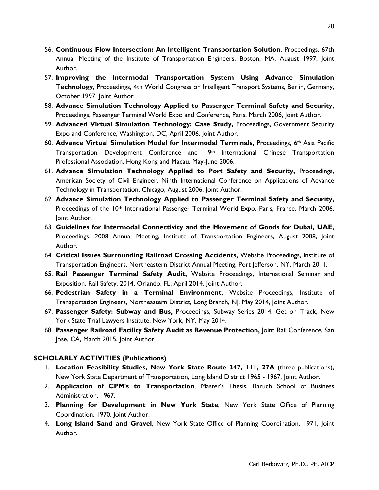- 56. **Continuous Flow Intersection: An Intelligent Transportation Solution**, Proceedings, 67th Annual Meeting of the Institute of Transportation Engineers, Boston, MA, August 1997, Joint Author.
- 57. **Improving the Intermodal Transportation System Using Advance Simulation Technology**, Proceedings, 4th World Congress on Intelligent Transport Systems, Berlin, Germany, October 1997, Joint Author.
- 58. **Advance Simulation Technology Applied to Passenger Terminal Safety and Security,**  Proceedings, Passenger Terminal World Expo and Conference, Paris, March 2006, Joint Author.
- 59. **Advanced Virtual Simulation Technology: Case Study,** Proceedings, Government Security Expo and Conference, Washington, DC, April 2006, Joint Author.
- 60. **Advance Virtual Simulation Model for Intermodal Terminals,** Proceedings, 6th Asia Pacific Transportation Development Conference and  $19<sup>th</sup>$  International Chinese Transportation Professional Association, Hong Kong and Macau, May-June 2006.
- 61. **Advance Simulation Technology Applied to Port Safety and Security,** Proceedings, American Society of Civil Engineer, Ninth International Conference on Applications of Advance Technology in Transportation, Chicago, August 2006, Joint Author.
- 62. **Advance Simulation Technology Applied to Passenger Terminal Safety and Security,**  Proceedings of the 10<sup>th</sup> International Passenger Terminal World Expo, Paris, France, March 2006, Joint Author.
- 63. **Guidelines for Intermodal Connectivity and the Movement of Goods for Dubai, UAE,**  Proceedings, 2008 Annual Meeting, Institute of Transportation Engineers, August 2008, Joint Author.
- 64. **Critical Issues Surrounding Railroad Crossing Accidents,** Website Proceedings, Institute of Transportation Engineers, Northeastern District Annual Meeting, Port Jefferson, NY, March 2011.
- 65. **Rail Passenger Terminal Safety Audit,** Website Proceedings, International Seminar and Exposition, Rail Safety, 2014, Orlando, FL, April 2014, Joint Author.
- 66. **Pedestrian Safety in a Terminal Environment,** Website Proceedings, Institute of Transportation Engineers, Northeastern District, Long Branch, NJ, May 2014, Joint Author.
- 67. **Passenger Safety: Subway and Bus,** Proceedings, Subway Series 2014: Get on Track, New York State Trial Lawyers Institute, New York, NY, May 2014.
- 68. **Passenger Railroad Facility Safety Audit as Revenue Protection,** Joint Rail Conference, San Jose, CA, March 2015, Joint Author.

# **SCHOLARLY ACTIVITIES (Publications)**

- 1. **Location Feasibility Studies, New York State Route 347, 111, 27A** (three publications), New York State Department of Transportation, Long Island District 1965 - 1967, Joint Author.
- 2. **Application of CPM's to Transportation**, Master's Thesis, Baruch School of Business Administration, 1967.
- 3. **Planning for Development in New York State**, New York State Office of Planning Coordination, 1970, Joint Author.
- 4. **Long Island Sand and Gravel**, New York State Office of Planning Coordination, 1971, Joint Author.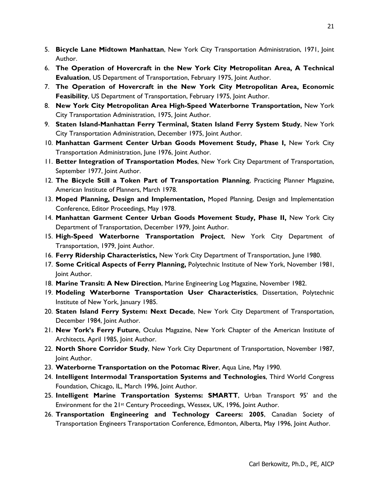- 5. **Bicycle Lane Midtown Manhattan**, New York City Transportation Administration, 1971, Joint Author.
- 6. **The Operation of Hovercraft in the New York City Metropolitan Area, A Technical Evaluation**, US Department of Transportation, February 1975, Joint Author.
- 7. **The Operation of Hovercraft in the New York City Metropolitan Area, Economic Feasibility, US Department of Transportation, February 1975, Joint Author.**
- 8. **New York City Metropolitan Area High-Speed Waterborne Transportation,** New York City Transportation Administration, 1975, Joint Author.
- 9. **Staten Island-Manhattan Ferry Terminal, Staten Island Ferry System Study**, New York City Transportation Administration, December 1975, Joint Author.
- 10. **Manhattan Garment Center Urban Goods Movement Study, Phase I,** New York City Transportation Administration, June 1976, Joint Author.
- 11. **Better Integration of Transportation Modes**, New York City Department of Transportation, September 1977, Joint Author.
- 12. **The Bicycle Still a Token Part of Transportation Planning**, Practicing Planner Magazine, American Institute of Planners, March 1978.
- 13. **Moped Planning, Design and Implementation,** Moped Planning, Design and Implementation Conference, Editor Proceedings, May 1978.
- 14. **Manhattan Garment Center Urban Goods Movement Study, Phase II,** New York City Department of Transportation, December 1979, Joint Author.
- 15. **High-Speed Waterborne Transportation Project**, New York City Department of Transportation, 1979, Joint Author.
- 16. **Ferry Ridership Characteristics,** New York City Department of Transportation, June 1980.
- 17. **Some Critical Aspects of Ferry Planning,** Polytechnic Institute of New York, November 1981, Joint Author.
- 18. **Marine Transit: A New Direction**, Marine Engineering Log Magazine, November 1982.
- 19. **Modeling Waterborne Transportation User Characteristics**, Dissertation, Polytechnic Institute of New York, January 1985.
- 20. **Staten Island Ferry System: Next Decade**, New York City Department of Transportation, December 1984, Joint Author.
- 21. **New York's Ferry Future**, Oculus Magazine, New York Chapter of the American Institute of Architects, April 1985, Joint Author.
- 22. **North Shore Corridor Study**, New York City Department of Transportation, November 1987, Joint Author.
- 23. **Waterborne Transportation on the Potomac River**, Aqua Line, May 1990.
- 24. **Intelligent Intermodal Transportation Systems and Technologies**, Third World Congress Foundation, Chicago, IL, March 1996, Joint Author.
- 25. **Intelligent Marine Transportation Systems: SMARTT**, Urban Transport 95' and the Environment for the 21st Century Proceedings, Wessex, UK, 1996, Joint Author.
- 26. **Transportation Engineering and Technology Careers: 2005**, Canadian Society of Transportation Engineers Transportation Conference, Edmonton, Alberta, May 1996, Joint Author.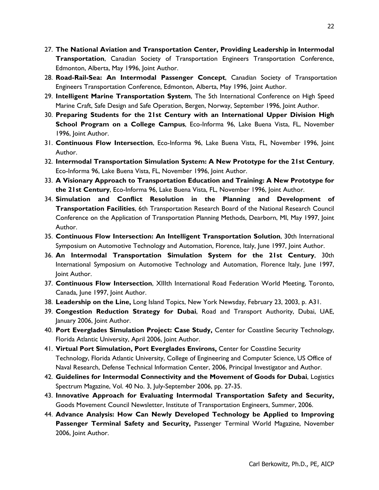- 27. **The National Aviation and Transportation Center, Providing Leadership in Intermodal Transportation**, Canadian Society of Transportation Engineers Transportation Conference, Edmonton, Alberta, May 1996, Joint Author.
- 28. **Road-Rail-Sea: An Intermodal Passenger Concept**, Canadian Society of Transportation Engineers Transportation Conference, Edmonton, Alberta, May 1996, Joint Author.
- 29. **Intelligent Marine Transportation System**, The 5th International Conference on High Speed Marine Craft, Safe Design and Safe Operation, Bergen, Norway, September 1996, Joint Author.
- 30. **Preparing Students for the 21st Century with an International Upper Division High School Program on a College Campus**, Eco-Informa 96, Lake Buena Vista, FL, November 1996, Joint Author.
- 31. **Continuous Flow Intersection**, Eco-Informa 96, Lake Buena Vista, FL, November 1996, Joint Author.
- 32. **Intermodal Transportation Simulation System: A New Prototype for the 21st Century**, Eco-Informa 96, Lake Buena Vista, FL, November 1996, Joint Author.
- 33. **A Visionary Approach to Transportation Education and Training: A New Prototype for the 21st Century**, Eco-Informa 96, Lake Buena Vista, FL, November 1996, Joint Author.
- 34. **Simulation and Conflict Resolution in the Planning and Development of Transportation Facilities**, 6th Transportation Research Board of the National Research Council Conference on the Application of Transportation Planning Methods, Dearborn, MI, May 1997, Joint Author.
- 35. **Continuous Flow Intersection: An Intelligent Transportation Solution**, 30th International Symposium on Automotive Technology and Automation, Florence, Italy, June 1997, Joint Author.
- 36. **An Intermodal Transportation Simulation System for the 21st Century**, 30th International Symposium on Automotive Technology and Automation, Florence Italy, June 1997, Joint Author.
- 37. **Continuous Flow Intersection**, XIIIth International Road Federation World Meeting, Toronto, Canada, June 1997, Joint Author.
- 38. **Leadership on the Line,** Long Island Topics, New York Newsday, February 23, 2003, p. A31.
- 39. **Congestion Reduction Strategy for Dubai**, Road and Transport Authority, Dubai, UAE, January 2006, Joint Author.
- 40. **Port Everglades Simulation Project: Case Study,** Center for Coastline Security Technology, Florida Atlantic University, April 2006, Joint Author.
- 41. **Virtual Port Simulation, Port Everglades Environs,** Center for Coastline Security Technology, Florida Atlantic University, College of Engineering and Computer Science, US Office of Naval Research, Defense Technical Information Center, 2006, Principal Investigator and Author.
- 42. **Guidelines for Intermodal Connectivity and the Movement of Goods for Dubai**, Logistics Spectrum Magazine, Vol. 40 No. 3, July-September 2006, pp. 27-35.
- 43. **Innovative Approach for Evaluating Intermodal Transportation Safety and Security,**  Goods Movement Council Newsletter, Institute of Transportation Engineers, Summer, 2006.
- 44. **Advance Analysis: How Can Newly Developed Technology be Applied to Improving Passenger Terminal Safety and Security,** Passenger Terminal World Magazine, November 2006, Joint Author.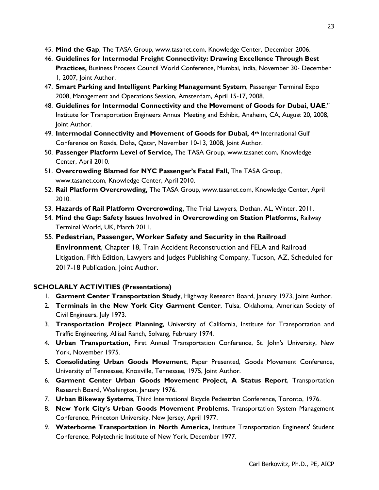- 45. **Mind the Gap**, The TASA Group, www.tasanet.com, Knowledge Center, December 2006.
- 46. **Guidelines for Intermodal Freight Connectivity: Drawing Excellence Through Best Practices,** Business Process Council World Conference, Mumbai, India, November 30- December 1, 2007, Joint Author.
- 47. **Smart Parking and Intelligent Parking Management System**, Passenger Terminal Expo 2008, Management and Operations Session, Amsterdam, April 15-17, 2008.
- 48. **Guidelines for Intermodal Connectivity and the Movement of Goods for Dubai, UAE**," Institute for Transportation Engineers Annual Meeting and Exhibit, Anaheim, CA, August 20, 2008, Joint Author.
- 49. **Intermodal Connectivity and Movement of Goods for Dubai, 4th** International Gulf Conference on Roads, Doha, Qatar, November 10-13, 2008, Joint Author.
- 50. **Passenger Platform Level of Service,** The TASA Group, www.tasanet.com, Knowledge Center, April 2010.
- 51. **Overcrowding Blamed for NYC Passenger's Fatal Fall,** The TASA Group, www.tasanet.com, Knowledge Center, April 2010.
- 52. **Rail Platform Overcrowding,** The TASA Group, www.tasanet.com, Knowledge Center, April 2010.
- 53. **Hazards of Rail Platform Overcrowding,** The Trial Lawyers, Dothan, AL, Winter, 2011.
- 54. **Mind the Gap: Safety Issues Involved in Overcrowding on Station Platforms,** Railway Terminal World, UK, March 2011.

55. **Pedestrian, Passenger, Worker Safety and Security in the Railroad Environment**, Chapter 18, Train Accident Reconstruction and FELA and Railroad Litigation, Fifth Edition, Lawyers and Judges Publishing Company, Tucson, AZ, Scheduled for 2017-18 Publication, Joint Author.

# **SCHOLARLY ACTIVITIES (Presentations)**

- 1. **Garment Center Transportation Study**, Highway Research Board, January 1973, Joint Author.
- 2. **Terminals in the New York City Garment Center**, Tulsa, Oklahoma, American Society of Civil Engineers, July 1973.
- 3. **Transportation Project Planning**, University of California, Institute for Transportation and Traffic Engineering, Allisal Ranch, Solvang, February 1974.
- 4. **Urban Transportation,** First Annual Transportation Conference, St. John's University, New York, November 1975.
- 5. **Consolidating Urban Goods Movement**, Paper Presented, Goods Movement Conference, University of Tennessee, Knoxville, Tennessee, 1975, Joint Author.
- 6. **Garment Center Urban Goods Movement Project, A Status Report**, Transportation Research Board, Washington, January 1976.
- 7. **Urban Bikeway Systems**, Third International Bicycle Pedestrian Conference, Toronto, 1976.
- 8. **New York City's Urban Goods Movement Problems**, Transportation System Management Conference, Princeton University, New Jersey, April 1977.
- 9. **Waterborne Transportation in North America,** Institute Transportation Engineers' Student Conference, Polytechnic Institute of New York, December 1977.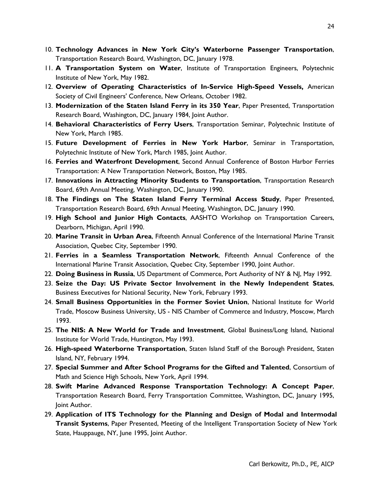- 10. **Technology Advances in New York City's Waterborne Passenger Transportation**, Transportation Research Board, Washington, DC, January 1978.
- 11. **A Transportation System on Water**, Institute of Transportation Engineers, Polytechnic Institute of New York, May 1982.
- 12. **Overview of Operating Characteristics of In-Service High-Speed Vessels,** American Society of Civil Engineers' Conference, New Orleans, October 1982.
- 13. **Modernization of the Staten Island Ferry in its 350 Year**, Paper Presented, Transportation Research Board, Washington, DC, January 1984, Joint Author.
- 14. **Behavioral Characteristics of Ferry Users**, Transportation Seminar, Polytechnic Institute of New York, March 1985.
- 15. **Future Development of Ferries in New York Harbor**, Seminar in Transportation, Polytechnic Institute of New York, March 1985, Joint Author.
- 16. **Ferries and Waterfront Development**, Second Annual Conference of Boston Harbor Ferries Transportation: A New Transportation Network, Boston, May 1985.
- 17. **Innovations in Attracting Minority Students to Transportation**, Transportation Research Board, 69th Annual Meeting, Washington, DC, January 1990.
- 18. **The Findings on The Staten Island Ferry Terminal Access Study**, Paper Presented, Transportation Research Board, 69th Annual Meeting, Washington, DC, January 1990.
- 19. **High School and Junior High Contacts**, AASHTO Workshop on Transportation Careers, Dearborn, Michigan, April 1990.
- 20. **Marine Transit in Urban Area**, Fifteenth Annual Conference of the International Marine Transit Association, Quebec City, September 1990.
- 21. **Ferries in a Seamless Transportation Network**, Fifteenth Annual Conference of the International Marine Transit Association, Quebec City, September 1990, Joint Author.
- 22. **Doing Business in Russia**, US Department of Commerce, Port Authority of NY & NJ, May 1992.
- 23. **Seize the Day: US Private Sector Involvement in the Newly Independent States**, Business Executives for National Security, New York, February 1993.
- 24. **Small Business Opportunities in the Former Soviet Union**, National Institute for World Trade, Moscow Business University, US - NIS Chamber of Commerce and Industry, Moscow, March 1993.
- 25. **The NIS: A New World for Trade and Investment**, Global Business/Long Island, National Institute for World Trade, Huntington, May 1993.
- 26. **High-speed Waterborne Transportation**, Staten Island Staff of the Borough President, Staten Island, NY, February 1994.
- 27. **Special Summer and After School Programs for the Gifted and Talented**, Consortium of Math and Science High Schools, New York, April 1994.
- 28. **Swift Marine Advanced Response Transportation Technology: A Concept Paper**, Transportation Research Board, Ferry Transportation Committee, Washington, DC, January 1995, Joint Author.
- 29. **Application of ITS Technology for the Planning and Design of Modal and Intermodal Transit Systems**, Paper Presented, Meeting of the Intelligent Transportation Society of New York State, Hauppauge, NY, June 1995, Joint Author.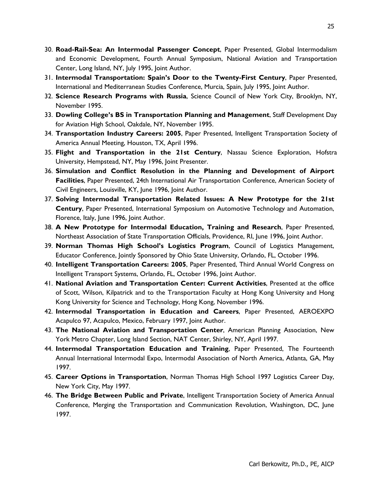- 30. **Road-Rail-Sea: An Intermodal Passenger Concept**, Paper Presented, Global Intermodalism and Economic Development, Fourth Annual Symposium, National Aviation and Transportation Center, Long Island, NY, July 1995, Joint Author.
- 31. **Intermodal Transportation: Spain's Door to the Twenty-First Century**, Paper Presented, International and Mediterranean Studies Conference, Murcia, Spain, July 1995, Joint Author.
- 32. **Science Research Programs with Russia**, Science Council of New York City, Brooklyn, NY, November 1995.
- 33. **Dowling College's BS in Transportation Planning and Management**, Staff Development Day for Aviation High School, Oakdale, NY, November 1995.
- 34. **Transportation Industry Careers: 2005**, Paper Presented, Intelligent Transportation Society of America Annual Meeting, Houston, TX, April 1996.
- 35. **Flight and Transportation in the 21st Century**, Nassau Science Exploration, Hofstra University, Hempstead, NY, May 1996, Joint Presenter.
- 36. **Simulation and Conflict Resolution in the Planning and Development of Airport Facilities**, Paper Presented, 24th International Air Transportation Conference, American Society of Civil Engineers, Louisville, KY, June 1996, Joint Author.
- 37. **Solving Intermodal Transportation Related Issues: A New Prototype for the 21st Century**, Paper Presented, International Symposium on Automotive Technology and Automation, Florence, Italy, June 1996, Joint Author.
- 38. **A New Prototype for Intermodal Education, Training and Research**, Paper Presented, Northeast Association of State Transportation Officials, Providence, RI, June 1996, Joint Author.
- 39. **Norman Thomas High School's Logistics Program**, Council of Logistics Management, Educator Conference, Jointly Sponsored by Ohio State University, Orlando, FL, October 1996.
- 40. **Intelligent Transportation Careers: 2005**, Paper Presented, Third Annual World Congress on Intelligent Transport Systems, Orlando, FL, October 1996, Joint Author.
- 41. **National Aviation and Transportation Center: Current Activities**, Presented at the office of Scott, Wilson, Kilpatrick and to the Transportation Faculty at Hong Kong University and Hong Kong University for Science and Technology, Hong Kong, November 1996.
- 42. **Intermodal Transportation in Education and Careers**, Paper Presented, AEROEXPO Acapulco 97, Acapulco, Mexico, February 1997, Joint Author.
- 43. **The National Aviation and Transportation Center**, American Planning Association, New York Metro Chapter, Long Island Section, NAT Center, Shirley, NY, April 1997.
- 44. **Intermodal Transportation Education and Training**, Paper Presented, The Fourteenth Annual International Intermodal Expo, Intermodal Association of North America, Atlanta, GA, May 1997.
- 45. **Career Options in Transportation**, Norman Thomas High School 1997 Logistics Career Day, New York City, May 1997.
- 46. **The Bridge Between Public and Private**, Intelligent Transportation Society of America Annual Conference, Merging the Transportation and Communication Revolution, Washington, DC, June 1997.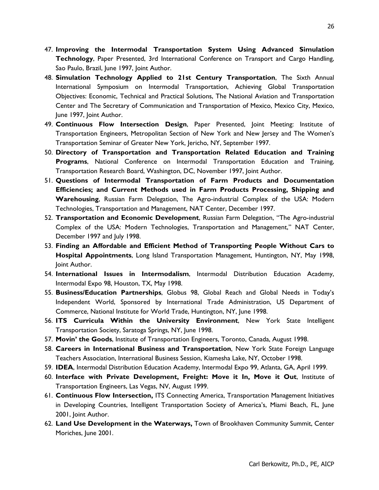- 47. **Improving the Intermodal Transportation System Using Advanced Simulation Technology**, Paper Presented, 3rd International Conference on Transport and Cargo Handling, Sao Paulo, Brazil, June 1997, Joint Author.
- 48. **Simulation Technology Applied to 21st Century Transportation**, The Sixth Annual International Symposium on Intermodal Transportation, Achieving Global Transportation Objectives: Economic, Technical and Practical Solutions, The National Aviation and Transportation Center and The Secretary of Communication and Transportation of Mexico, Mexico City, Mexico, June 1997, Joint Author.
- 49. **Continuous Flow Intersection Design**, Paper Presented, Joint Meeting: Institute of Transportation Engineers, Metropolitan Section of New York and New Jersey and The Women's Transportation Seminar of Greater New York, Jericho, NY, September 1997.
- 50. **Directory of Transportation and Transportation Related Education and Training Programs**, National Conference on Intermodal Transportation Education and Training, Transportation Research Board, Washington, DC, November 1997, Joint Author.
- 51. **Questions of Intermodal Transportation of Farm Products and Documentation Efficiencies; and Current Methods used in Farm Products Processing, Shipping and Warehousing**, Russian Farm Delegation, The Agro-industrial Complex of the USA: Modern Technologies, Transportation and Management, NAT Center, December 1997.
- 52. **Transportation and Economic Development**, Russian Farm Delegation, "The Agro-industrial Complex of the USA: Modern Technologies, Transportation and Management," NAT Center, December 1997 and July 1998.
- 53. **Finding an Affordable and Efficient Method of Transporting People Without Cars to Hospital Appointments**, Long Island Transportation Management, Huntington, NY, May 1998, Joint Author.
- 54. **International Issues in Intermodalism**, Intermodal Distribution Education Academy, Intermodal Expo 98, Houston, TX, May 1998.
- 55. **Business/Education Partnerships**, Globus 98, Global Reach and Global Needs in Today's Independent World, Sponsored by International Trade Administration, US Department of Commerce, National Institute for World Trade, Huntington, NY, June 1998.
- 56. **ITS Curricula Within the University Environment**, New York State Intelligent Transportation Society, Saratoga Springs, NY, June 1998.
- 57. **Movin' the Goods**, Institute of Transportation Engineers, Toronto, Canada, August 1998.
- 58. **Careers in International Business and Transportation**, New York State Foreign Language Teachers Association, International Business Session, Kiamesha Lake, NY, October 1998.
- 59. **IDEA**, Intermodal Distribution Education Academy, Intermodal Expo 99, Atlanta, GA, April 1999.
- 60. **Interface with Private Development, Freight: Move it In, Move it Out**, Institute of Transportation Engineers, Las Vegas, NV, August 1999.
- 61. **Continuous Flow Intersection,** ITS Connecting America, Transportation Management Initiatives in Developing Countries, Intelligent Transportation Society of America's, Miami Beach, FL, June 2001, Joint Author.
- 62. **Land Use Development in the Waterways,** Town of Brookhaven Community Summit, Center Moriches, June 2001.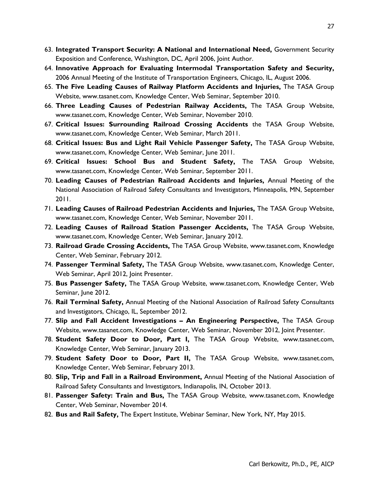- 63. **Integrated Transport Security: A National and International Need,** Government Security Exposition and Conference, Washington, DC, April 2006, Joint Author.
- 64. **Innovative Approach for Evaluating Intermodal Transportation Safety and Security,**  2006 Annual Meeting of the Institute of Transportation Engineers, Chicago, IL, August 2006.
- 65. **The Five Leading Causes of Railway Platform Accidents and Injuries,** The TASA Group Website, www.tasanet.com, Knowledge Center, Web Seminar, September 2010.
- 66. **Three Leading Causes of Pedestrian Railway Accidents,** The TASA Group Website, www.tasanet.com, Knowledge Center, Web Seminar, November 2010.
- 67. **Critical Issues: Surrounding Railroad Crossing Accidents** the TASA Group Website, www.tasanet.com, Knowledge Center, Web Seminar, March 2011.
- 68. **Critical Issues: Bus and Light Rail Vehicle Passenger Safety,** The TASA Group Website, www.tasanet.com, Knowledge Center, Web Seminar, June 2011.
- 69. **Critical Issues: School Bus and Student Safety,** The TASA Group Website, www.tasanet.com, Knowledge Center, Web Seminar, September 2011.
- 70. **Leading Causes of Pedestrian Railroad Accidents and Injuries,** Annual Meeting of the National Association of Railroad Safety Consultants and Investigators, Minneapolis, MN, September 2011.
- 71. **Leading Causes of Railroad Pedestrian Accidents and Injuries,** The TASA Group Website, www.tasanet.com, Knowledge Center, Web Seminar, November 2011.
- 72. **Leading Causes of Railroad Station Passenger Accidents,** The TASA Group Website, www.tasanet.com, Knowledge Center, Web Seminar, January 2012.
- 73. **Railroad Grade Crossing Accidents,** The TASA Group Website, www.tasanet.com, Knowledge Center, Web Seminar, February 2012.
- 74. **Passenger Terminal Safety,** The TASA Group Website, www.tasanet.com, Knowledge Center, Web Seminar, April 2012, Joint Presenter.
- 75. **Bus Passenger Safety,** The TASA Group Website, www.tasanet.com, Knowledge Center, Web Seminar, June 2012.
- 76. **Rail Terminal Safety,** Annual Meeting of the National Association of Railroad Safety Consultants and Investigators, Chicago, IL, September 2012.
- 77. **Slip and Fall Accident Investigations An Engineering Perspective,** The TASA Group Website, www.tasanet.com, Knowledge Center, Web Seminar, November 2012, Joint Presenter.
- 78. **Student Safety Door to Door, Part I,** The TASA Group Website, www.tasanet.com, Knowledge Center, Web Seminar, January 2013.
- 79. **Student Safety Door to Door, Part II,** The TASA Group Website, www.tasanet.com, Knowledge Center, Web Seminar, February 2013.
- 80. **Slip, Trip and Fall in a Railroad Environment,** Annual Meeting of the National Association of Railroad Safety Consultants and Investigators, Indianapolis, IN, October 2013.
- 81. **Passenger Safety: Train and Bus,** The TASA Group Website, www.tasanet.com, Knowledge Center, Web Seminar, November 2014.
- 82. **Bus and Rail Safety,** The Expert Institute, Webinar Seminar, New York, NY, May 2015.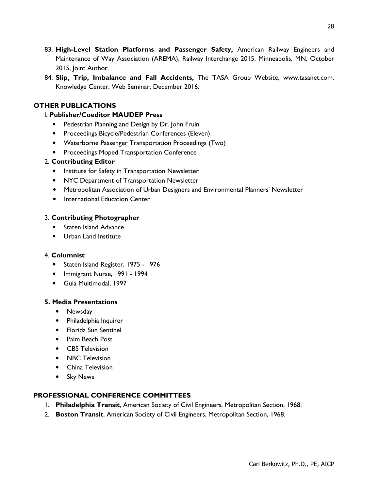- 83. **High-Level Station Platforms and Passenger Safety,** American Railway Engineers and Maintenance of Way Association (AREMA), Railway Interchange 2015, Minneapolis, MN, October 2015, Joint Author.
- 84. **Slip, Trip, Imbalance and Fall Accidents,** The TASA Group Website, www.tasanet.com, Knowledge Center, Web Seminar, December 2016.

# **OTHER PUBLICATIONS**

## l. **Publisher/Coeditor MAUDEP Press**

- Pedestrian Planning and Design by Dr. John Fruin
- Proceedings Bicycle/Pedestrian Conferences (Eleven)
- Waterborne Passenger Transportation Proceedings (Two)
- Proceedings Moped Transportation Conference

### 2. **Contributing Editor**

- Institute for Safety in Transportation Newsletter
- NYC Department of Transportation Newsletter
- Metropolitan Association of Urban Designers and Environmental Planners' Newsletter
- International Education Center

### 3. **Contributing Photographer**

- Staten Island Advance
- Urban Land Institute

#### 4. **Columnist**

- Staten Island Register, 1975 1976
- Immigrant Nurse, 1991 1994
- Guia Multimodal, 1997

#### **5. Media Presentations**

- Newsday
- Philadelphia Inquirer
- Florida Sun Sentinel
- Palm Beach Post
- CBS Television
- NBC Television
- China Television
- Sky News

#### **PROFESSIONAL CONFERENCE COMMITTEES**

- 1. **Philadelphia Transit**, American Society of Civil Engineers, Metropolitan Section, 1968.
- 2. **Boston Transit**, American Society of Civil Engineers, Metropolitan Section, 1968.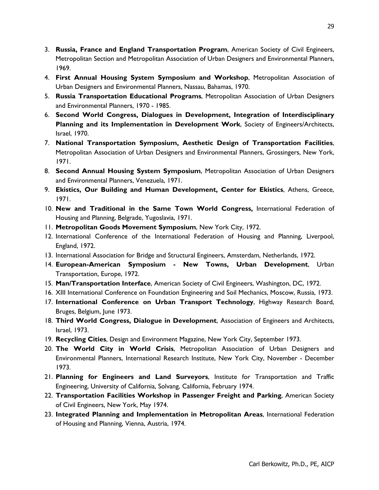- 3. **Russia, France and England Transportation Program**, American Society of Civil Engineers, Metropolitan Section and Metropolitan Association of Urban Designers and Environmental Planners, 1969.
- 4. **First Annual Housing System Symposium and Workshop**, Metropolitan Association of Urban Designers and Environmental Planners, Nassau, Bahamas, 1970.
- 5. **Russia Transportation Educational Programs**, Metropolitan Association of Urban Designers and Environmental Planners, 1970 - 1985.
- 6. **Second World Congress, Dialogues in Development, Integration of Interdisciplinary Planning and its Implementation in Development Work**, Society of Engineers/Architects, Israel, 1970.
- 7. **National Transportation Symposium, Aesthetic Design of Transportation Facilities**, Metropolitan Association of Urban Designers and Environmental Planners, Grossingers, New York, 1971.
- 8. **Second Annual Housing System Symposium**, Metropolitan Association of Urban Designers and Environmental Planners, Venezuela, 1971.
- 9. **Ekistics, Our Building and Human Development, Center for Ekistics**, Athens, Greece, 1971.
- 10. **New and Traditional in the Same Town World Congress,** International Federation of Housing and Planning, Belgrade, Yugoslavia, 1971.
- 11. **Metropolitan Goods Movement Symposium**, New York City, 1972.
- 12. International Conference of the International Federation of Housing and Planning, Liverpool, England, 1972.
- 13. International Association for Bridge and Structural Engineers, Amsterdam, Netherlands, 1972.
- 14. **European-American Symposium New Towns, Urban Development**, Urban Transportation, Europe, 1972.
- 15. **Man/Transportation Interface**, American Society of Civil Engineers, Washington, DC, 1972.
- 16. XIII International Conference on Foundation Engineering and Soil Mechanics, Moscow, Russia, 1973.
- 17. **International Conference on Urban Transport Technology**, Highway Research Board, Bruges, Belgium, June 1973.
- 18. **Third World Congress, Dialogue in Development**, Association of Engineers and Architects, Israel, 1973.
- 19. **Recycling Cities**, Design and Environment Magazine, New York City, September 1973.
- 20. **The World City in World Crisis**, Metropolitan Association of Urban Designers and Environmental Planners, International Research Institute, New York City, November - December 1973.
- 21. **Planning for Engineers and Land Surveyors**, Institute for Transportation and Traffic Engineering, University of California, Solvang, California, February 1974.
- 22. **Transportation Facilities Workshop in Passenger Freight and Parking**, American Society of Civil Engineers, New York, May 1974.
- 23. **Integrated Planning and Implementation in Metropolitan Areas**, International Federation of Housing and Planning, Vienna, Austria, 1974.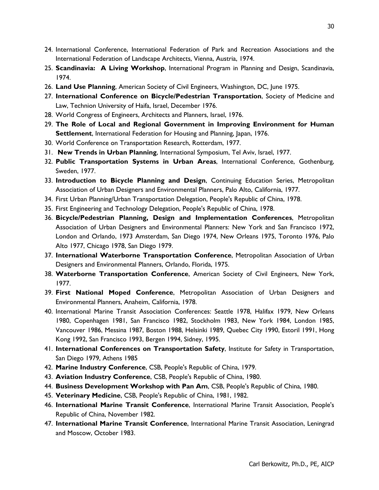- 24. International Conference, International Federation of Park and Recreation Associations and the International Federation of Landscape Architects, Vienna, Austria, 1974.
- 25. **Scandinavia: A Living Workshop**, International Program in Planning and Design, Scandinavia, 1974.
- 26. **Land Use Planning**, American Society of Civil Engineers, Washington, DC, June 1975.
- 27. **International Conference on Bicycle/Pedestrian Transportation**, Society of Medicine and Law, Technion University of Haifa, Israel, December 1976.
- 28. World Congress of Engineers, Architects and Planners, Israel, 1976.
- 29. **The Role of Local and Regional Government in Improving Environment for Human Settlement**, International Federation for Housing and Planning, Japan, 1976.
- 30. World Conference on Transportation Research, Rotterdam, 1977.
- 31. **New Trends in Urban Planning**, International Symposium, Tel Aviv, Israel, 1977.
- 32. **Public Transportation Systems in Urban Areas**, International Conference, Gothenburg, Sweden, 1977.
- 33. **Introduction to Bicycle Planning and Design**, Continuing Education Series, Metropolitan Association of Urban Designers and Environmental Planners, Palo Alto, California, 1977.
- 34. First Urban Planning/Urban Transportation Delegation, People's Republic of China, 1978.
- 35. First Engineering and Technology Delegation, People's Republic of China, 1978.
- 36. **Bicycle/Pedestrian Planning, Design and Implementation Conferences**, Metropolitan Association of Urban Designers and Environmental Planners: New York and San Francisco 1972, London and Orlando, 1973 Amsterdam, San Diego 1974, New Orleans 1975, Toronto 1976, Palo Alto 1977, Chicago 1978, San Diego 1979.
- 37. **International Waterborne Transportation Conference**, Metropolitan Association of Urban Designers and Environmental Planners, Orlando, Florida, 1975.
- 38. **Waterborne Transportation Conference**, American Society of Civil Engineers, New York, 1977.
- 39. **First National Moped Conference**, Metropolitan Association of Urban Designers and Environmental Planners, Anaheim, California, 1978.
- 40. International Marine Transit Association Conferences: Seattle 1978, Halifax 1979, New Orleans 1980, Copenhagen 1981, San Francisco 1982, Stockholm 1983, New York 1984, London 1985, Vancouver 1986, Messina 1987, Boston 1988, Helsinki 1989, Quebec City 1990, Estoril 1991, Hong Kong 1992, San Francisco 1993, Bergen 1994, Sidney, 1995.
- 41. **International Conferences on Transportation Safety**, Institute for Safety in Transportation, San Diego 1979, Athens 1985
- 42. **Marine Industry Conference**, CSB, People's Republic of China, 1979.
- 43. **Aviation Industry Conference**, CSB, People's Republic of China, 1980.
- 44. **Business Development Workshop with Pan Am**, CSB, People's Republic of China, 1980.
- 45. **Veterinary Medicine**, CSB, People's Republic of China, 1981, 1982.
- 46. **International Marine Transit Conference**, International Marine Transit Association, People's Republic of China, November 1982.
- 47. **International Marine Transit Conference**, International Marine Transit Association, Leningrad and Moscow, October 1983.